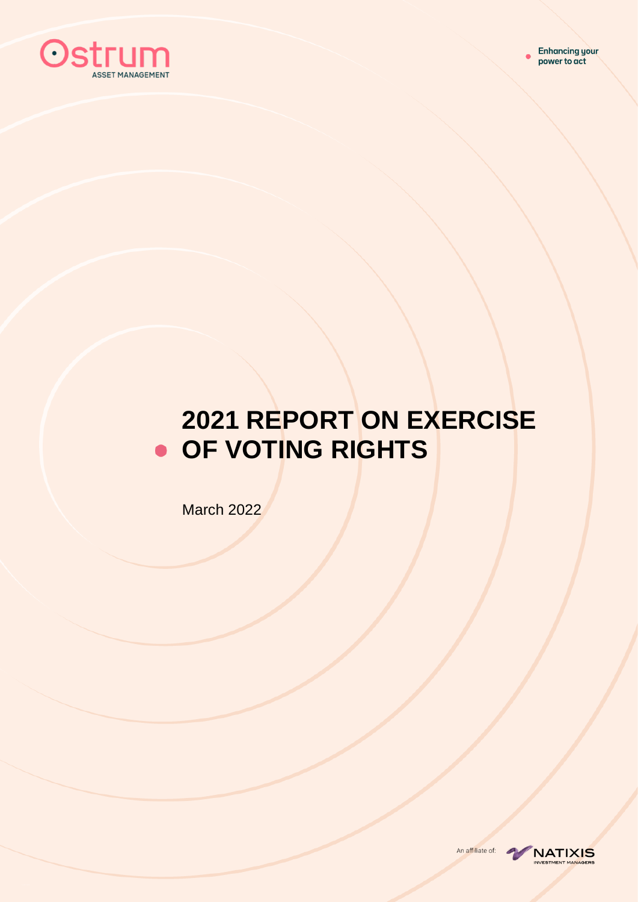

# **2021 REPORT ON EXERCISE OF VOTING RIGHTS**

March 2022

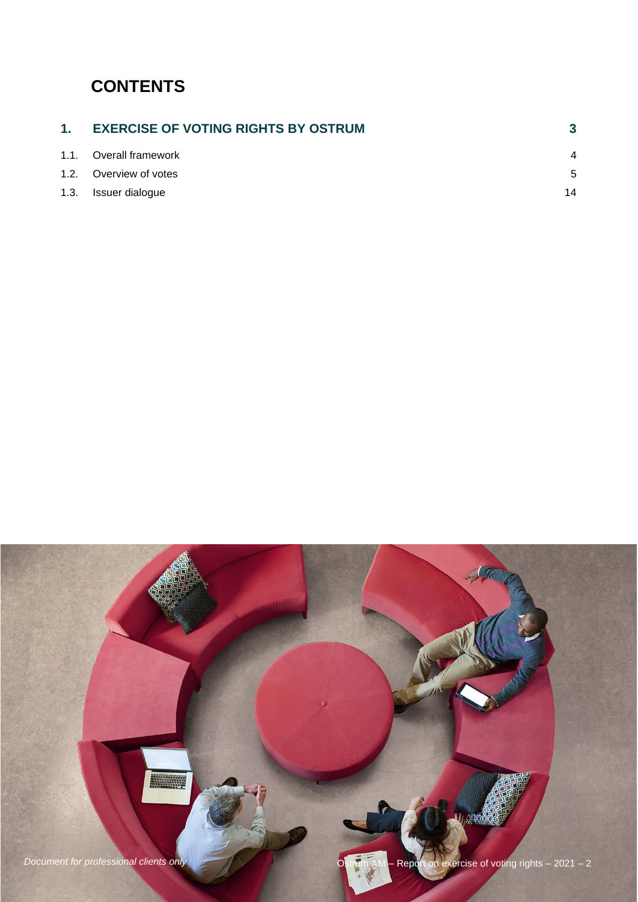## **CONTENTS**

| 1. EXERCISE OF VOTING RIGHTS BY OSTRUM |    |
|----------------------------------------|----|
| 1.1. Overall framework                 | 4  |
| 1.2. Overview of votes                 | 5  |
| 1.3. Issuer dialogue                   | 14 |

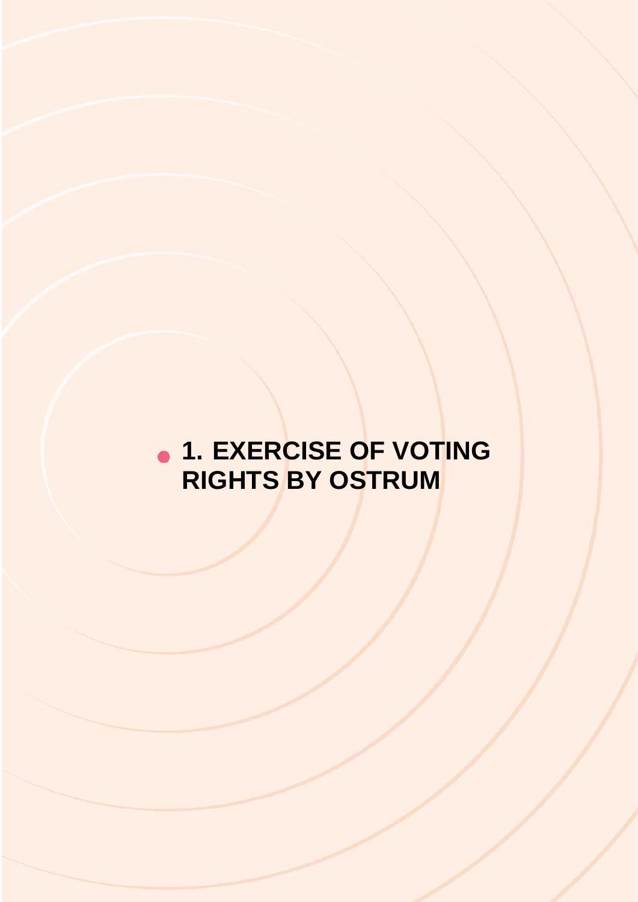# <span id="page-2-0"></span>**1. EXERCISE OF VOTING RIGHTS BY OSTRUM**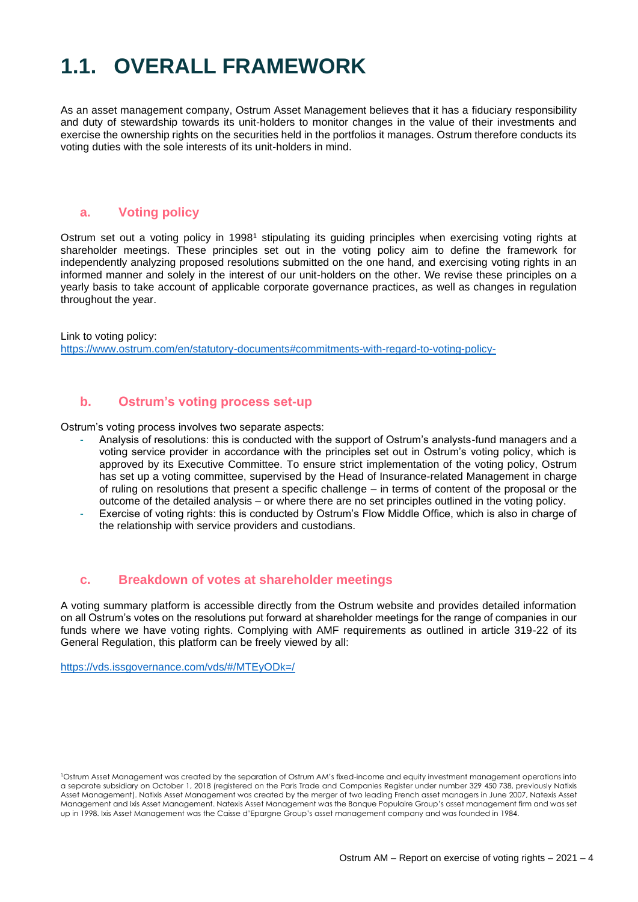## <span id="page-3-0"></span>**1.1. OVERALL FRAMEWORK**

As an asset management company, Ostrum Asset Management believes that it has a fiduciary responsibility and duty of stewardship towards its unit-holders to monitor changes in the value of their investments and exercise the ownership rights on the securities held in the portfolios it manages. Ostrum therefore conducts its voting duties with the sole interests of its unit-holders in mind.

#### **a. Voting policy**

Ostrum set out a voting policy in 1998<sup>1</sup> stipulating its guiding principles when exercising voting rights at shareholder meetings. These principles set out in the voting policy aim to define the framework for independently analyzing proposed resolutions submitted on the one hand, and exercising voting rights in an informed manner and solely in the interest of our unit-holders on the other. We revise these principles on a yearly basis to take account of applicable corporate governance practices, as well as changes in regulation throughout the year.

Link to voting policy: <https://www.ostrum.com/en/statutory-documents#commitments-with-regard-to-voting-policy->

#### **b. Ostrum's voting process set-up**

Ostrum's voting process involves two separate aspects:

- Analysis of resolutions: this is conducted with the support of Ostrum's analysts-fund managers and a voting service provider in accordance with the principles set out in Ostrum's voting policy, which is approved by its Executive Committee. To ensure strict implementation of the voting policy, Ostrum has set up a voting committee, supervised by the Head of Insurance-related Management in charge of ruling on resolutions that present a specific challenge – in terms of content of the proposal or the outcome of the detailed analysis – or where there are no set principles outlined in the voting policy.
- Exercise of voting rights: this is conducted by Ostrum's Flow Middle Office, which is also in charge of the relationship with service providers and custodians.

#### **c. Breakdown of votes at shareholder meetings**

A voting summary platform is accessible directly from the Ostrum website and provides detailed information on all Ostrum's votes on the resolutions put forward at shareholder meetings for the range of companies in our funds where we have voting rights. Complying with AMF requirements as outlined in article 319-22 of its General Regulation, this platform can be freely viewed by all:

<https://vds.issgovernance.com/vds/#/MTEyODk=/>

<sup>1</sup>Ostrum Asset Management was created by the separation of Ostrum AM's fixed-income and equity investment management operations into a separate subsidiary on October 1, 2018 (registered on the Paris Trade and Companies Register under number 329 450 738, previously Natixis Asset Management). Natixis Asset Management was created by the merger of two leading French asset managers in June 2007, Natexis Asset Management and Ixis Asset Management. Natexis Asset Management was the Banque Populaire Group's asset management firm and was set up in 1998. Ixis Asset Management was the Caisse d'Epargne Group's asset management company and was founded in 1984.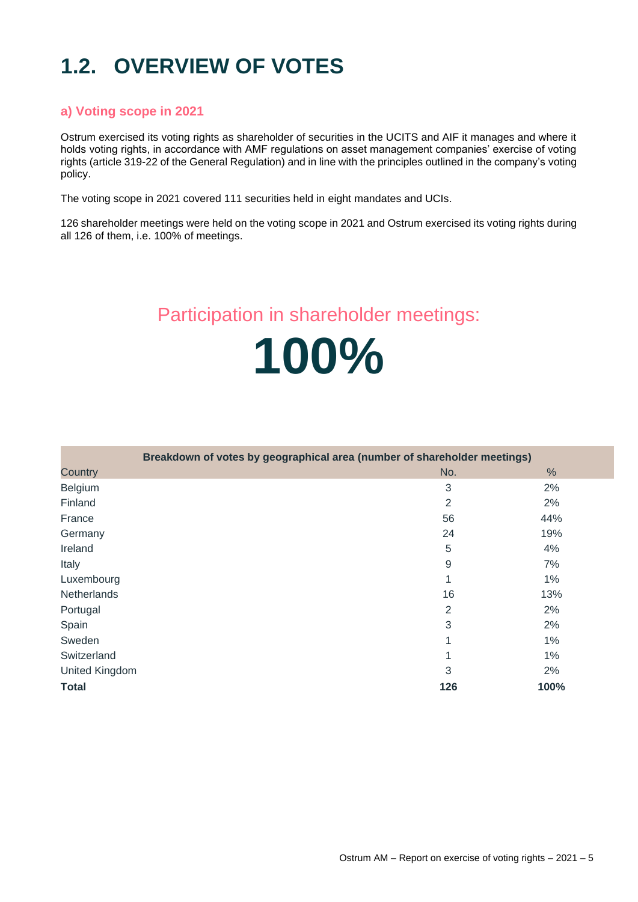## <span id="page-4-0"></span>**1.2. OVERVIEW OF VOTES**

#### **a) Voting scope in 2021**

Ostrum exercised its voting rights as shareholder of securities in the UCITS and AIF it manages and where it holds voting rights, in accordance with AMF regulations on asset management companies' exercise of voting rights (article 319-22 of the General Regulation) and in line with the principles outlined in the company's voting policy.

The voting scope in 2021 covered 111 securities held in eight mandates and UCIs.

126 shareholder meetings were held on the voting scope in 2021 and Ostrum exercised its voting rights during all 126 of them, i.e. 100% of meetings.

### Participation in shareholder meetings:

**100%**

|                       | Breakdown of votes by geographical area (number of shareholder meetings) |                |       |
|-----------------------|--------------------------------------------------------------------------|----------------|-------|
| Country               |                                                                          | No.            | $\%$  |
| Belgium               |                                                                          | 3              | 2%    |
| Finland               |                                                                          | $\overline{2}$ | 2%    |
| France                |                                                                          | 56             | 44%   |
| Germany               |                                                                          | 24             | 19%   |
| Ireland               |                                                                          | 5              | 4%    |
| Italy                 |                                                                          | 9              | 7%    |
| Luxembourg            |                                                                          | 1              | $1\%$ |
| <b>Netherlands</b>    |                                                                          | 16             | 13%   |
| Portugal              |                                                                          | 2              | 2%    |
| Spain                 |                                                                          | $\mathbf{3}$   | 2%    |
| Sweden                |                                                                          | 1              | 1%    |
| Switzerland           |                                                                          |                | $1\%$ |
| <b>United Kingdom</b> |                                                                          | 3              | 2%    |
| <b>Total</b>          |                                                                          | 126            | 100%  |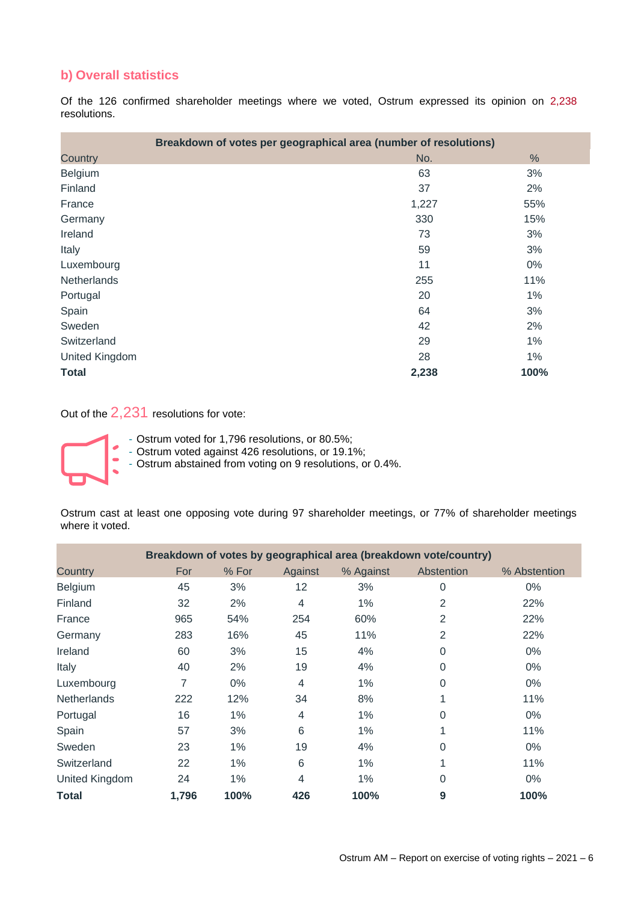#### **b) Overall statistics**

Of the 126 confirmed shareholder meetings where we voted, Ostrum expressed its opinion on 2,238 resolutions.

| Breakdown of votes per geographical area (number of resolutions) |       |               |
|------------------------------------------------------------------|-------|---------------|
| Country                                                          | No.   | $\frac{0}{0}$ |
| Belgium                                                          | 63    | 3%            |
| Finland                                                          | 37    | 2%            |
| France                                                           | 1,227 | 55%           |
| Germany                                                          | 330   | 15%           |
| Ireland                                                          | 73    | 3%            |
| Italy                                                            | 59    | 3%            |
| Luxembourg                                                       | 11    | 0%            |
| Netherlands                                                      | 255   | 11%           |
| Portugal                                                         | 20    | 1%            |
| Spain                                                            | 64    | 3%            |
| Sweden                                                           | 42    | 2%            |
| Switzerland                                                      | 29    | 1%            |
| United Kingdom                                                   | 28    | 1%            |
| <b>Total</b>                                                     | 2,238 | 100%          |

Out of the 2,231 resolutions for vote:



- Ostrum voted for 1,796 resolutions, or 80.5%;
- Ostrum voted against 426 resolutions, or 19.1%;

- Ostrum abstained from voting on 9 resolutions, or 0.4%.

Ostrum cast at least one opposing vote during 97 shareholder meetings, or 77% of shareholder meetings where it voted.

|                    |       |       |         |           | Breakdown of votes by geographical area (breakdown vote/country) |              |
|--------------------|-------|-------|---------|-----------|------------------------------------------------------------------|--------------|
| Country            | For   | % For | Against | % Against | Abstention                                                       | % Abstention |
| Belgium            | 45    | 3%    | 12      | 3%        | 0                                                                | $0\%$        |
| Finland            | 32    | 2%    | 4       | $1\%$     | $\overline{2}$                                                   | 22%          |
| France             | 965   | 54%   | 254     | 60%       | 2                                                                | 22%          |
| Germany            | 283   | 16%   | 45      | 11%       | 2                                                                | 22%          |
| Ireland            | 60    | 3%    | 15      | 4%        | 0                                                                | $0\%$        |
| Italy              | 40    | 2%    | 19      | 4%        | 0                                                                | $0\%$        |
| Luxembourg         | 7     | $0\%$ | 4       | 1%        | 0                                                                | $0\%$        |
| <b>Netherlands</b> | 222   | 12%   | 34      | 8%        | 4                                                                | 11%          |
| Portugal           | 16    | 1%    | 4       | 1%        | 0                                                                | $0\%$        |
| Spain              | 57    | 3%    | 6       | 1%        |                                                                  | 11%          |
| Sweden             | 23    | 1%    | 19      | 4%        | 0                                                                | $0\%$        |
| Switzerland        | 22    | 1%    | 6       | 1%        | 1                                                                | 11%          |
| United Kingdom     | 24    | 1%    | 4       | 1%        | 0                                                                | $0\%$        |
| <b>Total</b>       | 1,796 | 100%  | 426     | 100%      | 9                                                                | 100%         |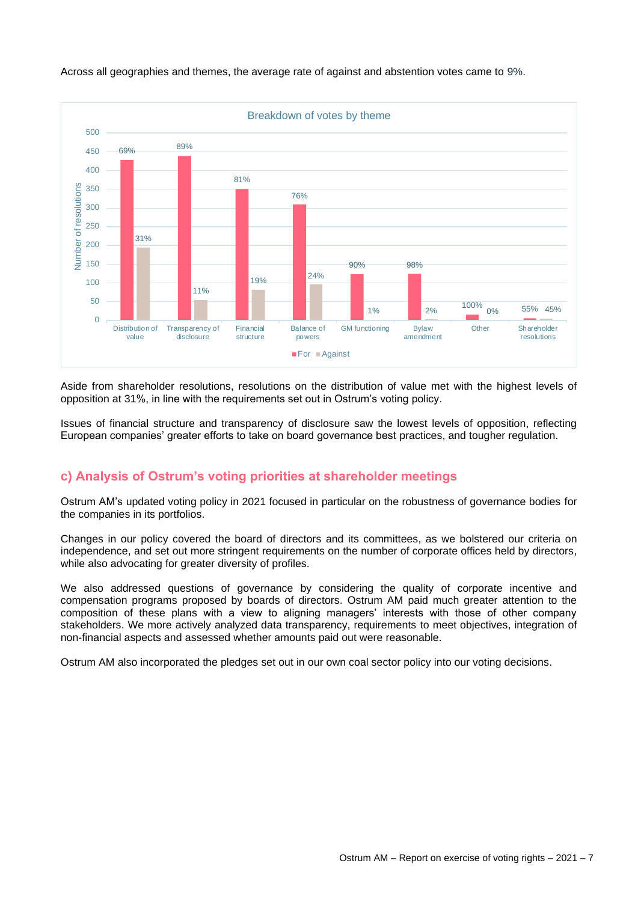

Across all geographies and themes, the average rate of against and abstention votes came to 9%.

Aside from shareholder resolutions, resolutions on the distribution of value met with the highest levels of opposition at 31%, in line with the requirements set out in Ostrum's voting policy.

Issues of financial structure and transparency of disclosure saw the lowest levels of opposition, reflecting European companies' greater efforts to take on board governance best practices, and tougher regulation.

#### **c) Analysis of Ostrum's voting priorities at shareholder meetings**

Ostrum AM's updated voting policy in 2021 focused in particular on the robustness of governance bodies for the companies in its portfolios.

Changes in our policy covered the board of directors and its committees, as we bolstered our criteria on independence, and set out more stringent requirements on the number of corporate offices held by directors, while also advocating for greater diversity of profiles.

We also addressed questions of governance by considering the quality of corporate incentive and compensation programs proposed by boards of directors. Ostrum AM paid much greater attention to the composition of these plans with a view to aligning managers' interests with those of other company stakeholders. We more actively analyzed data transparency, requirements to meet objectives, integration of non-financial aspects and assessed whether amounts paid out were reasonable.

Ostrum AM also incorporated the pledges set out in our own coal sector policy into our voting decisions.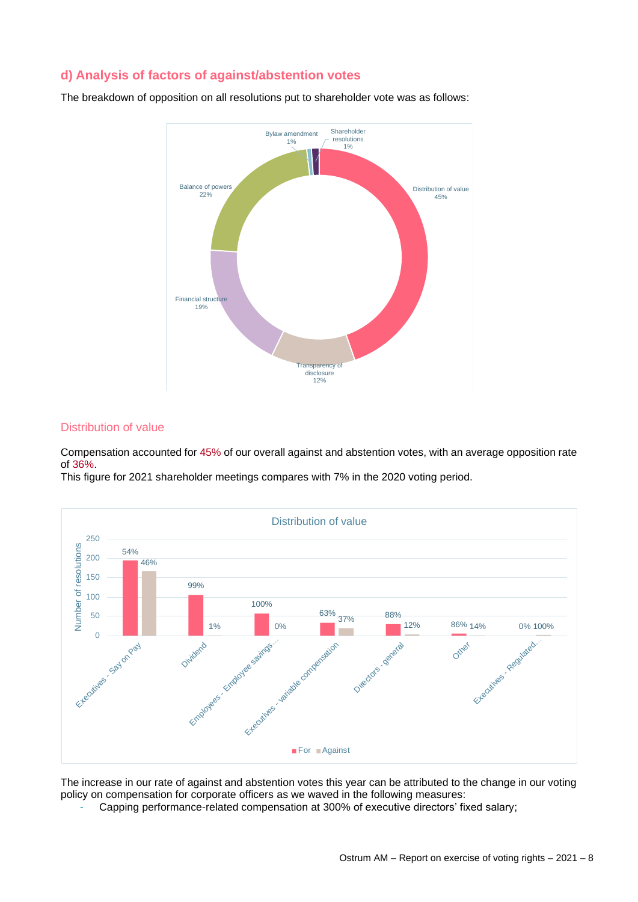#### **d) Analysis of factors of against/abstention votes**

The breakdown of opposition on all resolutions put to shareholder vote was as follows:



#### Distribution of value

Compensation accounted for 45% of our overall against and abstention votes, with an average opposition rate of 36%.

This figure for 2021 shareholder meetings compares with 7% in the 2020 voting period.



The increase in our rate of against and abstention votes this year can be attributed to the change in our voting policy on compensation for corporate officers as we waved in the following measures:

Capping performance-related compensation at 300% of executive directors' fixed salary;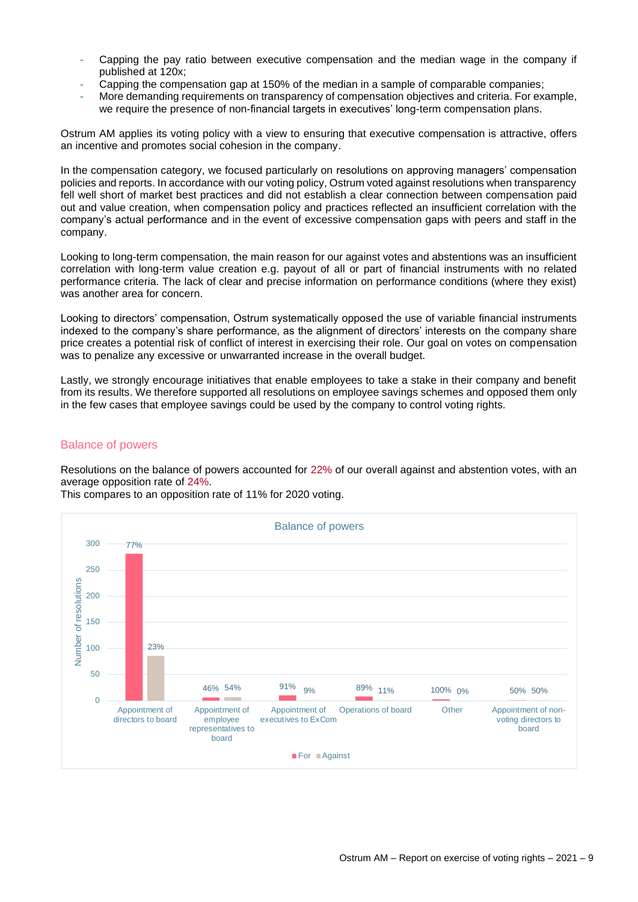- Capping the pay ratio between executive compensation and the median wage in the company if published at 120x;
- Capping the compensation gap at 150% of the median in a sample of comparable companies;
- More demanding requirements on transparency of compensation objectives and criteria. For example, we require the presence of non-financial targets in executives' long-term compensation plans.

Ostrum AM applies its voting policy with a view to ensuring that executive compensation is attractive, offers an incentive and promotes social cohesion in the company.

In the compensation category, we focused particularly on resolutions on approving managers' compensation policies and reports. In accordance with our voting policy, Ostrum voted against resolutions when transparency fell well short of market best practices and did not establish a clear connection between compensation paid out and value creation, when compensation policy and practices reflected an insufficient correlation with the company's actual performance and in the event of excessive compensation gaps with peers and staff in the company.

Looking to long-term compensation, the main reason for our against votes and abstentions was an insufficient correlation with long-term value creation e.g. payout of all or part of financial instruments with no related performance criteria. The lack of clear and precise information on performance conditions (where they exist) was another area for concern.

Looking to directors' compensation, Ostrum systematically opposed the use of variable financial instruments indexed to the company's share performance, as the alignment of directors' interests on the company share price creates a potential risk of conflict of interest in exercising their role. Our goal on votes on compensation was to penalize any excessive or unwarranted increase in the overall budget.

Lastly, we strongly encourage initiatives that enable employees to take a stake in their company and benefit from its results. We therefore supported all resolutions on employee savings schemes and opposed them only in the few cases that employee savings could be used by the company to control voting rights.

#### Balance of powers

Resolutions on the balance of powers accounted for 22% of our overall against and abstention votes, with an average opposition rate of 24%.

This compares to an opposition rate of 11% for 2020 voting.

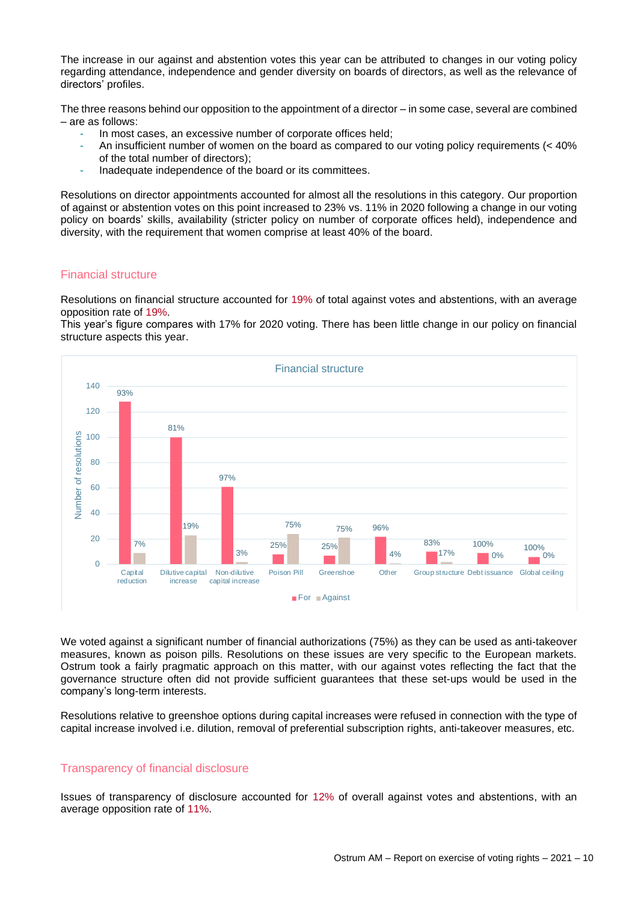The increase in our against and abstention votes this year can be attributed to changes in our voting policy regarding attendance, independence and gender diversity on boards of directors, as well as the relevance of directors' profiles.

The three reasons behind our opposition to the appointment of a director – in some case, several are combined – are as follows:

- In most cases, an excessive number of corporate offices held;
- An insufficient number of women on the board as compared to our voting policy requirements (< 40% of the total number of directors);
- Inadequate independence of the board or its committees.

Resolutions on director appointments accounted for almost all the resolutions in this category. Our proportion of against or abstention votes on this point increased to 23% vs. 11% in 2020 following a change in our voting policy on boards' skills, availability (stricter policy on number of corporate offices held), independence and diversity, with the requirement that women comprise at least 40% of the board.

#### Financial structure

Resolutions on financial structure accounted for 19% of total against votes and abstentions, with an average opposition rate of 19%.

This year's figure compares with 17% for 2020 voting. There has been little change in our policy on financial structure aspects this year.



We voted against a significant number of financial authorizations (75%) as they can be used as anti-takeover measures, known as poison pills. Resolutions on these issues are very specific to the European markets. Ostrum took a fairly pragmatic approach on this matter, with our against votes reflecting the fact that the governance structure often did not provide sufficient guarantees that these set-ups would be used in the company's long-term interests.

Resolutions relative to greenshoe options during capital increases were refused in connection with the type of capital increase involved i.e. dilution, removal of preferential subscription rights, anti-takeover measures, etc.

#### Transparency of financial disclosure

Issues of transparency of disclosure accounted for 12% of overall against votes and abstentions, with an average opposition rate of 11%.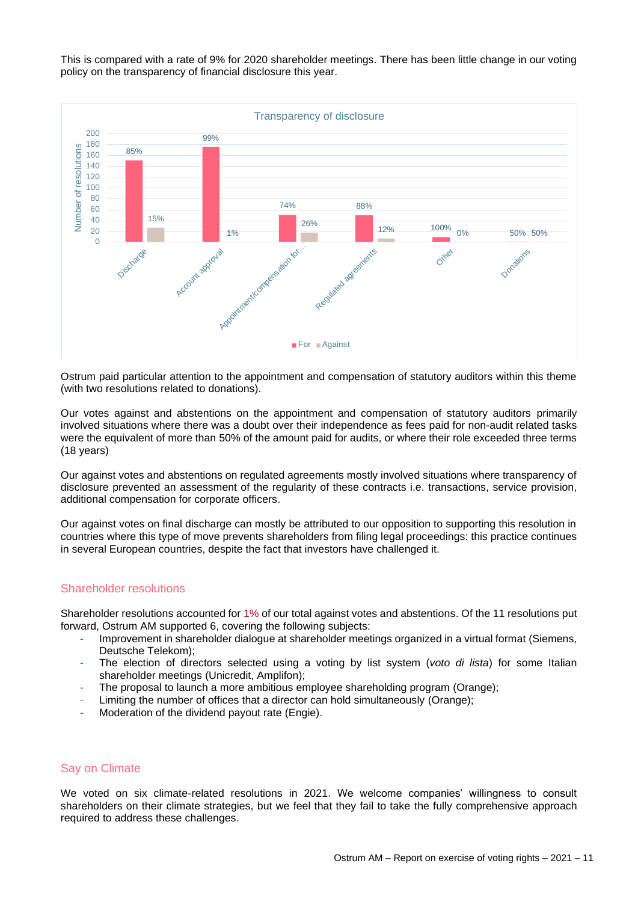This is compared with a rate of 9% for 2020 shareholder meetings. There has been little change in our voting policy on the transparency of financial disclosure this year.



Ostrum paid particular attention to the appointment and compensation of statutory auditors within this theme (with two resolutions related to donations).

Our votes against and abstentions on the appointment and compensation of statutory auditors primarily involved situations where there was a doubt over their independence as fees paid for non-audit related tasks were the equivalent of more than 50% of the amount paid for audits, or where their role exceeded three terms (18 years)

Our against votes and abstentions on regulated agreements mostly involved situations where transparency of disclosure prevented an assessment of the regularity of these contracts i.e. transactions, service provision, additional compensation for corporate officers.

Our against votes on final discharge can mostly be attributed to our opposition to supporting this resolution in countries where this type of move prevents shareholders from filing legal proceedings: this practice continues in several European countries, despite the fact that investors have challenged it.

#### Shareholder resolutions

Shareholder resolutions accounted for 1% of our total against votes and abstentions. Of the 11 resolutions put forward, Ostrum AM supported 6, covering the following subjects:

- Improvement in shareholder dialogue at shareholder meetings organized in a virtual format (Siemens, Deutsche Telekom);
- The election of directors selected using a voting by list system (*voto di lista*) for some Italian shareholder meetings (Unicredit, Amplifon);
- The proposal to launch a more ambitious employee shareholding program (Orange);
- Limiting the number of offices that a director can hold simultaneously (Orange);
- Moderation of the dividend payout rate (Engie).

#### Say on Climate

We voted on six climate-related resolutions in 2021. We welcome companies' willingness to consult shareholders on their climate strategies, but we feel that they fail to take the fully comprehensive approach required to address these challenges.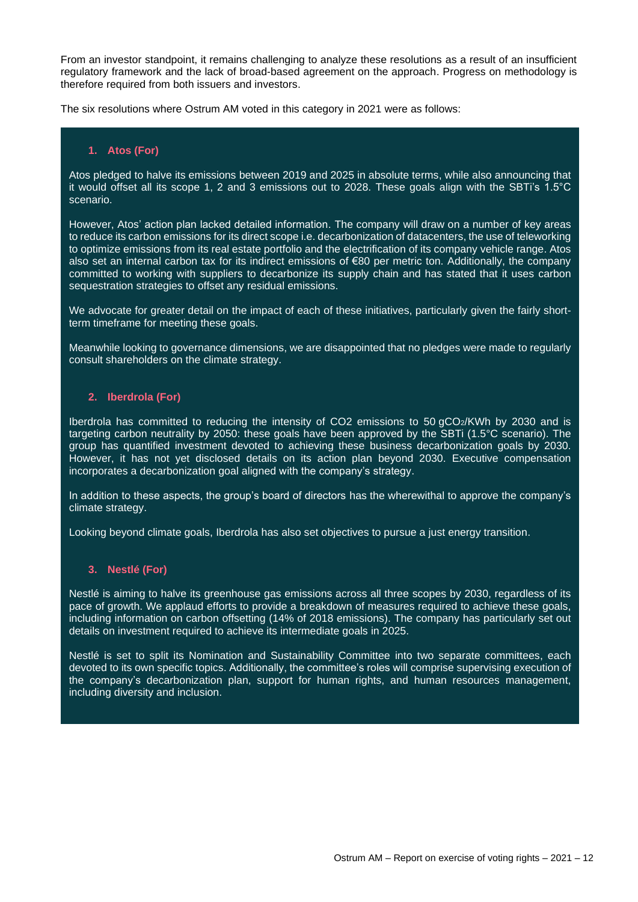From an investor standpoint, it remains challenging to analyze these resolutions as a result of an insufficient regulatory framework and the lack of broad-based agreement on the approach. Progress on methodology is therefore required from both issuers and investors.

The six resolutions where Ostrum AM voted in this category in 2021 were as follows:

#### **1. Atos (For)**

Atos pledged to halve its emissions between 2019 and 2025 in absolute terms, while also announcing that it would offset all its scope 1, 2 and 3 emissions out to 2028. These goals align with the SBTi's 1.5°C scenario.

However, Atos' action plan lacked detailed information. The company will draw on a number of key areas to reduce its carbon emissions for its direct scope i.e. decarbonization of datacenters, the use of teleworking to optimize emissions from its real estate portfolio and the electrification of its company vehicle range. Atos also set an internal carbon tax for its indirect emissions of €80 per metric ton. Additionally, the company committed to working with suppliers to decarbonize its supply chain and has stated that it uses carbon sequestration strategies to offset any residual emissions.

We advocate for greater detail on the impact of each of these initiatives, particularly given the fairly shortterm timeframe for meeting these goals.

Meanwhile looking to governance dimensions, we are disappointed that no pledges were made to regularly consult shareholders on the climate strategy.

#### **2. Iberdrola (For)**

Iberdrola has committed to reducing the intensity of CO2 emissions to 50  $qCO<sub>2</sub>/KWh$  by 2030 and is targeting carbon neutrality by 2050: these goals have been approved by the SBTi (1.5°C scenario). The group has quantified investment devoted to achieving these business decarbonization goals by 2030. However, it has not yet disclosed details on its action plan beyond 2030. Executive compensation incorporates a decarbonization goal aligned with the company's strategy.

In addition to these aspects, the group's board of directors has the wherewithal to approve the company's climate strategy.

Looking beyond climate goals, Iberdrola has also set objectives to pursue a just energy transition.

#### **3. Nestlé (For)**

Nestlé is aiming to halve its greenhouse gas emissions across all three scopes by 2030, regardless of its pace of growth. We applaud efforts to provide a breakdown of measures required to achieve these goals, including information on carbon offsetting (14% of 2018 emissions). The company has particularly set out details on investment required to achieve its intermediate goals in 2025.

Nestlé is set to split its Nomination and Sustainability Committee into two separate committees, each devoted to its own specific topics. Additionally, the committee's roles will comprise supervising execution of the company's decarbonization plan, support for human rights, and human resources management, including diversity and inclusion.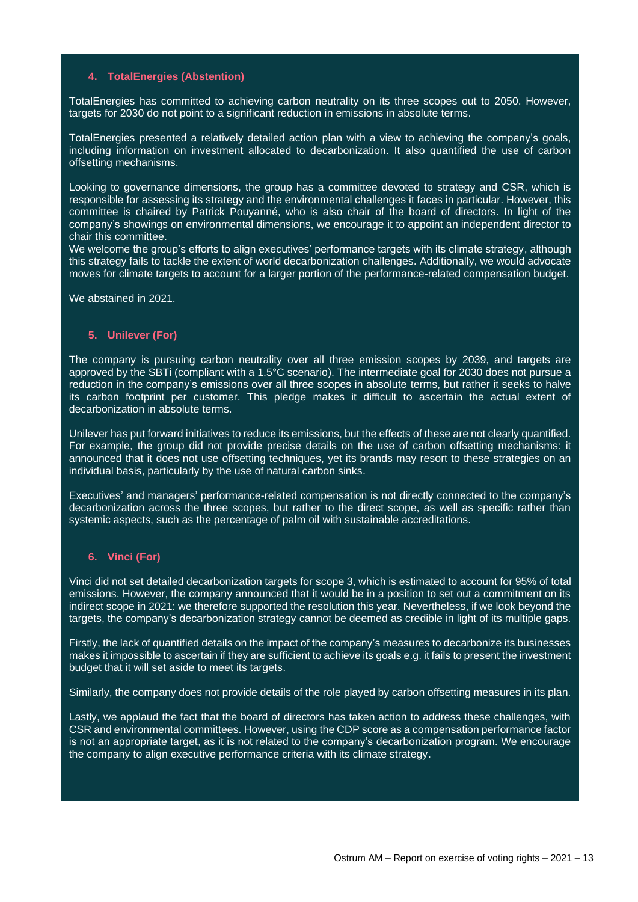#### **4. TotalEnergies (Abstention)**

TotalEnergies has committed to achieving carbon neutrality on its three scopes out to 2050. However, targets for 2030 do not point to a significant reduction in emissions in absolute terms.

TotalEnergies presented a relatively detailed action plan with a view to achieving the company's goals, including information on investment allocated to decarbonization. It also quantified the use of carbon offsetting mechanisms.

Looking to governance dimensions, the group has a committee devoted to strategy and CSR, which is responsible for assessing its strategy and the environmental challenges it faces in particular. However, this committee is chaired by Patrick Pouyanné, who is also chair of the board of directors. In light of the company's showings on environmental dimensions, we encourage it to appoint an independent director to chair this committee.

We welcome the group's efforts to align executives' performance targets with its climate strategy, although this strategy fails to tackle the extent of world decarbonization challenges. Additionally, we would advocate moves for climate targets to account for a larger portion of the performance-related compensation budget.

We abstained in 2021.

#### **5. Unilever (For)**

The company is pursuing carbon neutrality over all three emission scopes by 2039, and targets are approved by the SBTi (compliant with a 1.5°C scenario). The intermediate goal for 2030 does not pursue a reduction in the company's emissions over all three scopes in absolute terms, but rather it seeks to halve its carbon footprint per customer. This pledge makes it difficult to ascertain the actual extent of decarbonization in absolute terms.

Unilever has put forward initiatives to reduce its emissions, but the effects of these are not clearly quantified. For example, the group did not provide precise details on the use of carbon offsetting mechanisms: it announced that it does not use offsetting techniques, yet its brands may resort to these strategies on an individual basis, particularly by the use of natural carbon sinks.

Executives' and managers' performance-related compensation is not directly connected to the company's decarbonization across the three scopes, but rather to the direct scope, as well as specific rather than systemic aspects, such as the percentage of palm oil with sustainable accreditations.

#### **6. Vinci (For)**

Vinci did not set detailed decarbonization targets for scope 3, which is estimated to account for 95% of total emissions. However, the company announced that it would be in a position to set out a commitment on its indirect scope in 2021: we therefore supported the resolution this year. Nevertheless, if we look beyond the targets, the company's decarbonization strategy cannot be deemed as credible in light of its multiple gaps.

Firstly, the lack of quantified details on the impact of the company's measures to decarbonize its businesses makes it impossible to ascertain if they are sufficient to achieve its goals e.g. it fails to present the investment budget that it will set aside to meet its targets.

Similarly, the company does not provide details of the role played by carbon offsetting measures in its plan.

Lastly, we applaud the fact that the board of directors has taken action to address these challenges, with CSR and environmental committees. However, using the CDP score as a compensation performance factor is not an appropriate target, as it is not related to the company's decarbonization program. We encourage the company to align executive performance criteria with its climate strategy.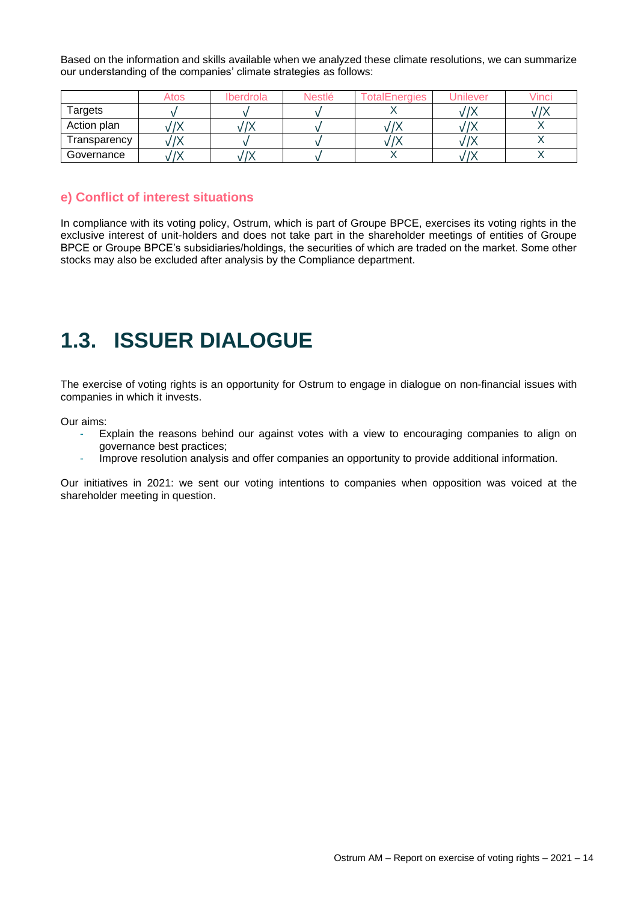Based on the information and skills available when we analyzed these climate resolutions, we can summarize our understanding of the companies' climate strategies as follows:

|              | Atos | Iberdrola | <b>Nestlé</b> | <b>TotalEnergies</b> | Jnilever | /inci |
|--------------|------|-----------|---------------|----------------------|----------|-------|
| Targets      |      |           |               |                      |          |       |
| Action plan  |      | $\sim$    |               | $\mathbf{r}$         |          |       |
| Fransparency |      |           |               |                      |          |       |
| Governance   |      |           |               |                      |          |       |

#### **e) Conflict of interest situations**

In compliance with its voting policy, Ostrum, which is part of Groupe BPCE, exercises its voting rights in the exclusive interest of unit-holders and does not take part in the shareholder meetings of entities of Groupe BPCE or Groupe BPCE's subsidiaries/holdings, the securities of which are traded on the market. Some other stocks may also be excluded after analysis by the Compliance department.

## <span id="page-13-0"></span>**1.3. ISSUER DIALOGUE**

The exercise of voting rights is an opportunity for Ostrum to engage in dialogue on non-financial issues with companies in which it invests.

Our aims:

- Explain the reasons behind our against votes with a view to encouraging companies to align on governance best practices;
- Improve resolution analysis and offer companies an opportunity to provide additional information.

Our initiatives in 2021: we sent our voting intentions to companies when opposition was voiced at the shareholder meeting in question.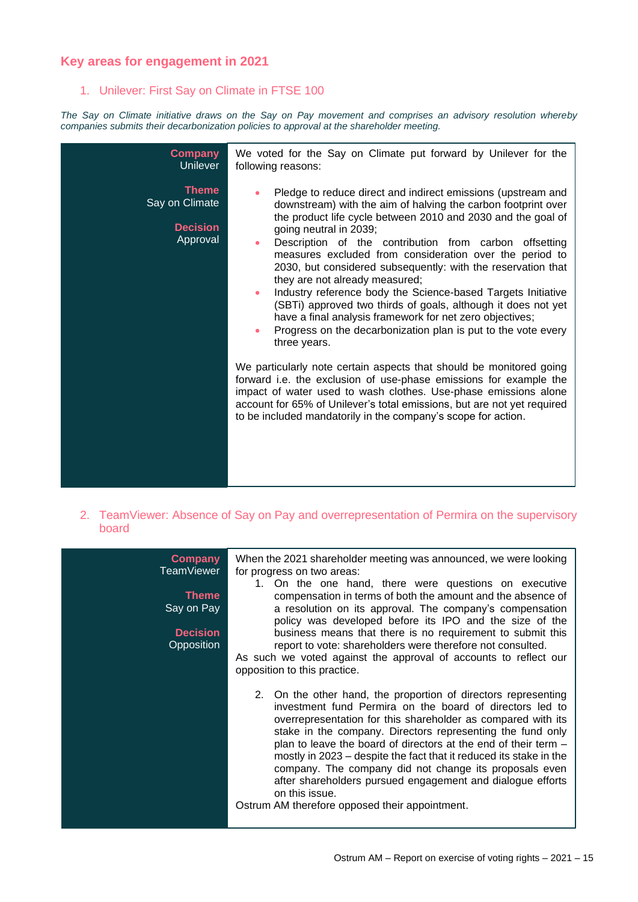### **Key areas for engagement in 2021**

#### 1. Unilever: First Say on Climate in FTSE 100

*The Say on Climate initiative draws on the Say on Pay movement and comprises an advisory resolution whereby companies submits their decarbonization policies to approval at the shareholder meeting.*

| <b>Company</b><br><b>Unilever</b>                             | We voted for the Say on Climate put forward by Unilever for the<br>following reasons:                                                                                                                                                                                                                                                                                                                                                                                                                                                                                                                                                                                                                                                                                            |
|---------------------------------------------------------------|----------------------------------------------------------------------------------------------------------------------------------------------------------------------------------------------------------------------------------------------------------------------------------------------------------------------------------------------------------------------------------------------------------------------------------------------------------------------------------------------------------------------------------------------------------------------------------------------------------------------------------------------------------------------------------------------------------------------------------------------------------------------------------|
| <b>Theme</b><br>Say on Climate<br><b>Decision</b><br>Approval | Pledge to reduce direct and indirect emissions (upstream and<br>$\bullet$<br>downstream) with the aim of halving the carbon footprint over<br>the product life cycle between 2010 and 2030 and the goal of<br>going neutral in 2039;<br>Description of the contribution from carbon offsetting<br>$\bullet$<br>measures excluded from consideration over the period to<br>2030, but considered subsequently: with the reservation that<br>they are not already measured;<br>Industry reference body the Science-based Targets Initiative<br>$\bullet$<br>(SBTi) approved two thirds of goals, although it does not yet<br>have a final analysis framework for net zero objectives;<br>Progress on the decarbonization plan is put to the vote every<br>$\bullet$<br>three years. |
|                                                               | We particularly note certain aspects that should be monitored going<br>forward i.e. the exclusion of use-phase emissions for example the<br>impact of water used to wash clothes. Use-phase emissions alone<br>account for 65% of Unilever's total emissions, but are not yet required<br>to be included mandatorily in the company's scope for action.                                                                                                                                                                                                                                                                                                                                                                                                                          |

2. TeamViewer: Absence of Say on Pay and overrepresentation of Permira on the supervisory board

| <b>Company</b><br><b>TeamViewer</b><br><b>Theme</b><br>Say on Pay<br><b>Decision</b><br>Opposition | When the 2021 shareholder meeting was announced, we were looking<br>for progress on two areas:<br>1. On the one hand, there were questions on executive<br>compensation in terms of both the amount and the absence of<br>a resolution on its approval. The company's compensation<br>policy was developed before its IPO and the size of the<br>business means that there is no requirement to submit this<br>report to vote: shareholders were therefore not consulted.<br>As such we voted against the approval of accounts to reflect our<br>opposition to this practice.                 |
|----------------------------------------------------------------------------------------------------|-----------------------------------------------------------------------------------------------------------------------------------------------------------------------------------------------------------------------------------------------------------------------------------------------------------------------------------------------------------------------------------------------------------------------------------------------------------------------------------------------------------------------------------------------------------------------------------------------|
|                                                                                                    | 2. On the other hand, the proportion of directors representing<br>investment fund Permira on the board of directors led to<br>overrepresentation for this shareholder as compared with its<br>stake in the company. Directors representing the fund only<br>plan to leave the board of directors at the end of their term -<br>mostly in 2023 – despite the fact that it reduced its stake in the<br>company. The company did not change its proposals even<br>after shareholders pursued engagement and dialogue efforts<br>on this issue.<br>Ostrum AM therefore opposed their appointment. |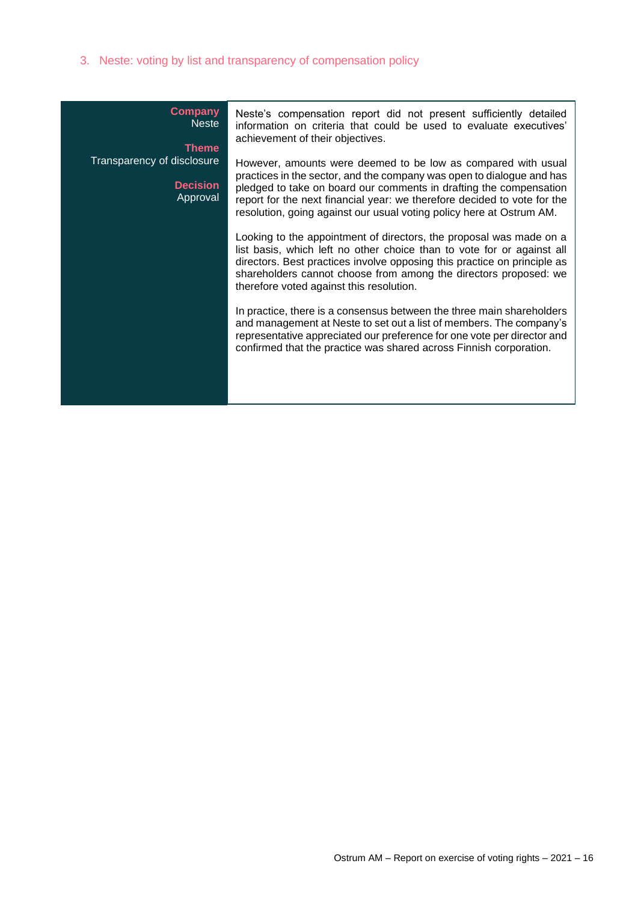3. Neste: voting by list and transparency of compensation policy

| <b>Company</b><br><b>Neste</b><br><b>Theme</b>            | Neste's compensation report did not present sufficiently detailed<br>information on criteria that could be used to evaluate executives'<br>achievement of their objectives.                                                                                                                                                                                      |
|-----------------------------------------------------------|------------------------------------------------------------------------------------------------------------------------------------------------------------------------------------------------------------------------------------------------------------------------------------------------------------------------------------------------------------------|
| Transparency of disclosure<br><b>Decision</b><br>Approval | However, amounts were deemed to be low as compared with usual<br>practices in the sector, and the company was open to dialogue and has<br>pledged to take on board our comments in drafting the compensation<br>report for the next financial year: we therefore decided to vote for the<br>resolution, going against our usual voting policy here at Ostrum AM. |
|                                                           | Looking to the appointment of directors, the proposal was made on a<br>list basis, which left no other choice than to vote for or against all<br>directors. Best practices involve opposing this practice on principle as<br>shareholders cannot choose from among the directors proposed: we<br>therefore voted against this resolution.                        |
|                                                           | In practice, there is a consensus between the three main shareholders<br>and management at Neste to set out a list of members. The company's<br>representative appreciated our preference for one vote per director and<br>confirmed that the practice was shared across Finnish corporation.                                                                    |
|                                                           |                                                                                                                                                                                                                                                                                                                                                                  |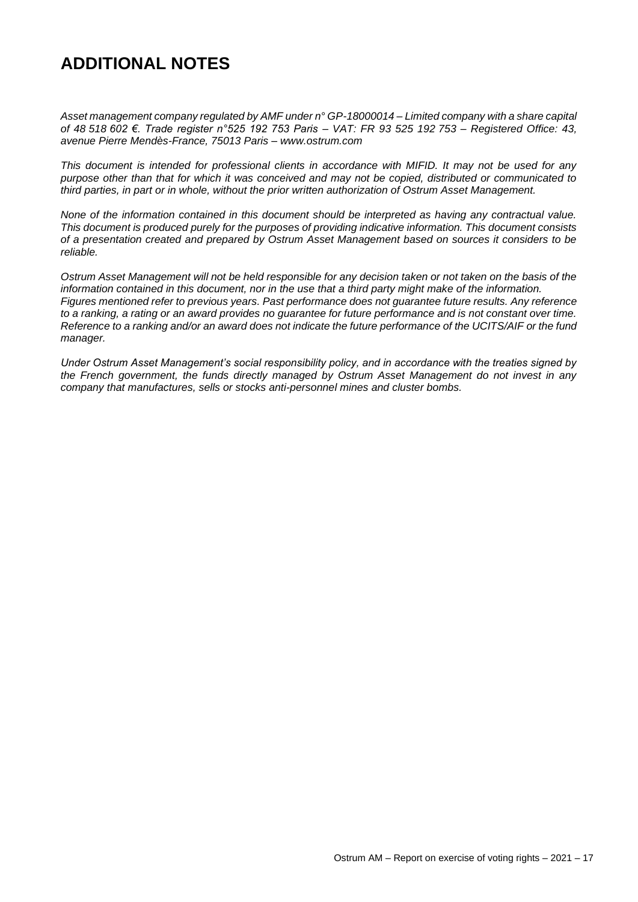### **ADDITIONAL NOTES**

*Asset management company regulated by AMF under n° GP-18000014 – Limited company with a share capital of 48 518 602 €. Trade register n°525 192 753 Paris – VAT: FR 93 525 192 753 – Registered Office: 43, avenue Pierre Mendès-France, 75013 Paris – [www.ostrum.com](http://www.ostrum.com/)*

*This document is intended for professional clients in accordance with MIFID. It may not be used for any purpose other than that for which it was conceived and may not be copied, distributed or communicated to third parties, in part or in whole, without the prior written authorization of Ostrum Asset Management.*

*None of the information contained in this document should be interpreted as having any contractual value. This document is produced purely for the purposes of providing indicative information. This document consists of a presentation created and prepared by Ostrum Asset Management based on sources it considers to be reliable.* 

*Ostrum Asset Management will not be held responsible for any decision taken or not taken on the basis of the information contained in this document, nor in the use that a third party might make of the information. Figures mentioned refer to previous years. Past performance does not guarantee future results. Any reference to a ranking, a rating or an award provides no guarantee for future performance and is not constant over time. Reference to a ranking and/or an award does not indicate the future performance of the UCITS/AIF or the fund manager.*

*Under Ostrum Asset Management's social responsibility policy, and in accordance with the treaties signed by the French government, the funds directly managed by Ostrum Asset Management do not invest in any company that manufactures, sells or stocks anti-personnel mines and cluster bombs.*